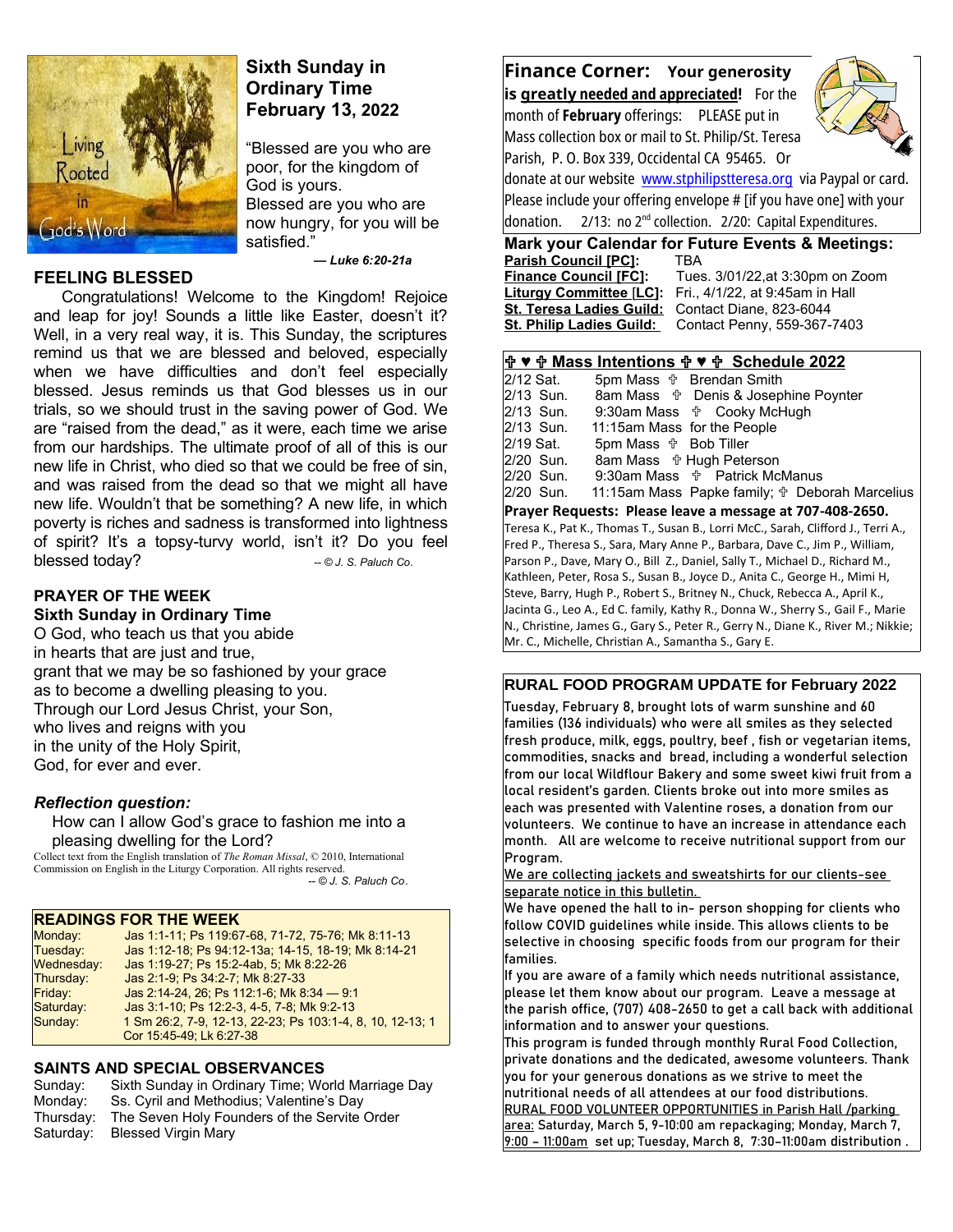

# **Sixth Sunday in Ordinary Time February 13, 2022**

"Blessed are you who are poor, for the kingdom of God is yours. Blessed are you who are now hungry, for you will be satisfied."

# **FEELING BLESSED**

 *— Luke 6:20-21a*

Congratulations! Welcome to the Kingdom! Rejoice and leap for joy! Sounds a little like Easter, doesn't it? Well, in a very real way, it is. This Sunday, the scriptures remind us that we are blessed and beloved, especially when we have difficulties and don't feel especially blessed. Jesus reminds us that God blesses us in our trials, so we should trust in the saving power of God. We are "raised from the dead," as it were, each time we arise from our hardships. The ultimate proof of all of this is our new life in Christ, who died so that we could be free of sin, and was raised from the dead so that we might all have new life. Wouldn't that be something? A new life, in which poverty is riches and sadness is transformed into lightness of spirit? It's a topsy-turvy world, isn't it? Do you feel blessed today? *-- © J. S. Paluch Co*.

### **PRAYER OF THE WEEK Sixth Sunday in Ordinary Time**

O God, who teach us that you abide in hearts that are just and true, grant that we may be so fashioned by your grace as to become a dwelling pleasing to you. Through our Lord Jesus Christ, your Son, who lives and reigns with you in the unity of the Holy Spirit, God, for ever and ever.

## *Reflection question:*

 How can I allow God's grace to fashion me into a pleasing dwelling for the Lord?

Collect text from the English translation of *The Roman Missal*, © 2010, International Commission on English in the Liturgy Corporation. All rights reserved.  *-- © J. S. Paluch Co*.

### **READINGS FOR THE WEEK**

| Monday:    | Jas 1:1-11; Ps 119:67-68, 71-72, 75-76; Mk 8:11-13        |
|------------|-----------------------------------------------------------|
| Tuesday:   | Jas 1:12-18; Ps 94:12-13a; 14-15, 18-19; Mk 8:14-21       |
| Wednesday: | Jas 1:19-27; Ps 15:2-4ab, 5; Mk 8:22-26                   |
| Thursday:  | Jas 2:1-9, Ps 34:2-7, Mk 8:27-33                          |
| Friday:    | Jas 2:14-24, 26; Ps 112:1-6; Mk 8:34 - 9:1                |
| Saturday:  | Jas 3:1-10, Ps 12:2-3, 4-5, 7-8, Mk 9:2-13                |
| Sunday:    | 1 Sm 26:2, 7-9, 12-13, 22-23, Ps 103:1-4, 8, 10, 12-13; 1 |
|            | Cor 15:45-49; Lk 6:27-38                                  |
|            |                                                           |

## **SAINTS AND SPECIAL OBSERVANCES**

| Sunday:   | Sixth Sunday in Ordinary Time; World Marriage Day |
|-----------|---------------------------------------------------|
| Monday:   | Ss. Cyril and Methodius; Valentine's Day          |
| Thursdav: | The Seven Holy Founders of the Servite Order      |
| Saturday: | Blessed Virgin Mary                               |
|           |                                                   |

**Finance Corner: Your generosity is greatly needed and appreciated!** For the month of **February** offerings: PLEASE put in Mass collection box or mail to St. Philip/St. Teresa

Parish, P. O. Box 339, Occidental CA 95465. Or



donate at our website [www.stphilipstteresa.org](http://www.stphilipstteresa.org/) via Paypal or card. Please include your offering envelope # [if you have one] with your donation.  $2/13$ : no  $2^{nd}$  collection. 2/20: Capital Expenditures.

# **Mark your Calendar for Future Events & Meetings:**

**Parish Council [PC]:** TBA **Finance Council [FC]:** Tues. 3/01/22,at 3:30pm on Zoom **Liturgy Committee** [**LC]:** Fri., 4/1/22, at 9:45am in Hall **St. Teresa Ladies Guild:** Contact Diane, 823-6044 St. Philip Ladies Guild: Contact Penny, 559-367-7403

#### **♥ Mass Intentions ♥ Schedule 2022**

 $2/12$  Sat. 5pm Mass  $\frac{4}{12}$  Brendan Smith  $2/13$  Sun. 8am Mass  $\frac{4}{12}$  Denis & Josep 2/13 Sun. 8am Mass Denis & Josephine Poynter 2/13 Sun. 9:30am Mass  $\frac{4}{1}$  Cooky McHugh 2/13 Sun. 11:15am Mass for the People  $2/13$  Sun. 11:15am Mass for the People <br>2/19 Sat. 5pm Mass  $\frac{4}{10}$  Bob Tiller 2/19 Sat. 5pm Mass Bob Tiller 8am Mass **the Hugh Peterson** 2/20 Sun. 9:30am Mass  $\frac{4}{3}$  Patrick McManus 2/20 Sun. 11:15am Mass Papke family; Deborah Marcelius **Prayer Requests: Please leave a message at 707-408-2650.**  Teresa K., Pat K., Thomas T., Susan B., Lorri McC., Sarah, Clifford J., Terri A., Fred P., Theresa S., Sara, Mary Anne P., Barbara, Dave C., Jim P., William, Parson P., Dave, Mary O., Bill Z., Daniel, Sally T., Michael D., Richard M., Kathleen, Peter, Rosa S., Susan B., Joyce D., Anita C., George H., Mimi H, Steve, Barry, Hugh P., Robert S., Britney N., Chuck, Rebecca A., April K., Jacinta G., Leo A., Ed C. family, Kathy R., Donna W., Sherry S., Gail F., Marie N., Christine, James G., Gary S., Peter R., Gerry N., Diane K., River M.; Nikkie; Mr. C., Michelle, Christian A., Samantha S., Gary E.

### **RURAL FOOD PROGRAM UPDATE for February 2022**

Tuesday, February 8, brought lots of warm sunshine and 60 families (136 individuals) who were all smiles as they selected fresh produce, milk, eggs, poultry, beef , fish or vegetarian items, commodities, snacks and bread, including a wonderful selection from our local Wildflour Bakery and some sweet kiwi fruit from a local resident's garden. Clients broke out into more smiles as each was presented with Valentine roses, a donation from our volunteers. We continue to have an increase in attendance each month. All are welcome to receive nutritional support from our Program.

We are collecting jackets and sweatshirts for our clients-see separate notice in this bulletin.

We have opened the hall to in- person shopping for clients who follow COVID guidelines while inside. This allows clients to be selective in choosing specific foods from our program for their families.

If you are aware of a family which needs nutritional assistance, please let them know about our program. Leave a message at the parish office, (707) 408-2650 to get a call back with additional information and to answer your questions.

This program is funded through monthly Rural Food Collection, private donations and the dedicated, awesome volunteers. Thank you for your generous donations as we strive to meet the nutritional needs of all attendees at our food distributions. RURAL FOOD VOLUNTEER OPPORTUNITIES in Parish Hall /parking area: Saturday, March 5, 9-10:00 am repackaging; Monday, March 7,  $9:00 - 11:00$ am set up; Tuesday, March 8, 7:30-11:00am distribution.